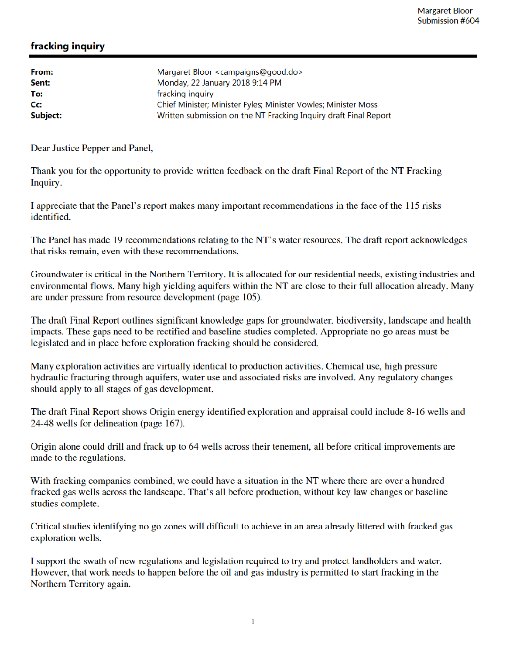## fracking inquiry

| From:<br>Sent: | Margaret Bloor <campaigns@good.do><br/>Monday, 22 January 2018 9:14 PM</campaigns@good.do> |
|----------------|--------------------------------------------------------------------------------------------|
| To:            | fracking inquiry                                                                           |
| Cc:            | Chief Minister; Minister Fyles; Minister Vowles; Minister Moss                             |
| Subject:       | Written submission on the NT Fracking Inquiry draft Final Report                           |

Dear Justice Pepper and Panel,

Thank you for the opportunity to provide written feedback on the draft Final Report of the NT Fracking Inquiry.

I appreciate that the Panel's report makes many important recommendations in the face of the 115 risks identified.

The Panel has made 19 recommendations relating to the NT's water resources. The draft report acknowledges that risks remain, even with these recommendations.

Groundwater is critical in the Northern Territory. It is allocated for our residential needs, existing industries and environmental flows. Many high yielding aquifers within the NT are close to their full allocation already. Many are under pressure from resource development (page 105).

The draft Final Report outlines significant knowledge gaps for groundwater, biodiversity, landscape and health impacts. These gaps need to be rectified and baseline studies completed. Appropriate no go areas must be legislated and in place before exploration fracking should be considered.

Many exploration activities are virtually identical to production activities. Chemical use, high pressure hydraulic fracturing through aquifers, water use and associated risks are involved. Any regulatory changes should apply to all stages of gas development.

The draft Final Report shows Origin energy identified exploration and appraisal could include 8-16 wells and 24-48 wells for delineation (page 167).

Origin alone could drill and frack up to 64 wells across their tenement, all before critical improvements are made to the regulations.

With fracking companies combined, we could have a situation in the NT where there are over a hundred fracked gas wells across the landscape. That's all before production, without key law changes or baseline studies complete.

Critical studies identifying no go zones will difficult to achieve in an area already littered with fracked gas exploration wells.

I support the swath of new regulations and legislation required to try and protect landholders and water. However, that work needs to happen before the oil and gas industry is permitted to start fracking in the Northern Territory again.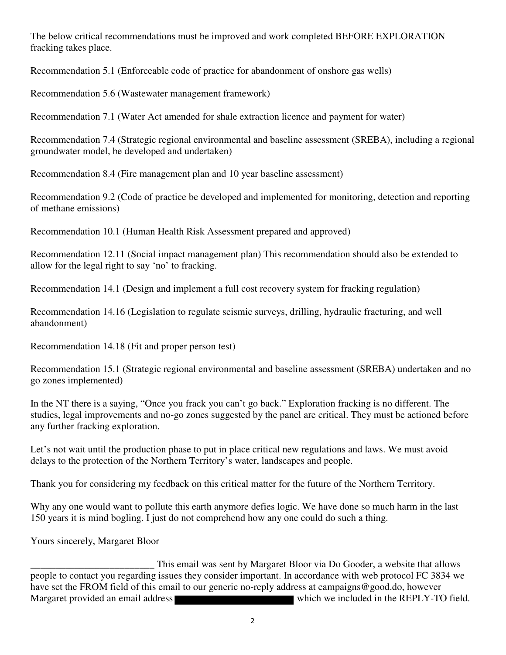The below critical recommendations must be improved and work completed BEFORE EXPLORATION fracking takes place.

Recommendation 5.1 (Enforceable code of practice for abandonment of onshore gas wells)

Recommendation 5.6 (Wastewater management framework)

Recommendation 7.1 (Water Act amended for shale extraction licence and payment for water)

Recommendation 7.4 (Strategic regional environmental and baseline assessment (SREBA), including a regional groundwater model, be developed and undertaken)

Recommendation 8.4 (Fire management plan and 10 year baseline assessment)

Recommendation 9.2 (Code of practice be developed and implemented for monitoring, detection and reporting of methane emissions)

Recommendation 10.1 (Human Health Risk Assessment prepared and approved)

Recommendation 12.11 (Social impact management plan) This recommendation should also be extended to allow for the legal right to say 'no' to fracking.

Recommendation 14.1 (Design and implement a full cost recovery system for fracking regulation)

Recommendation 14.16 (Legislation to regulate seismic surveys, drilling, hydraulic fracturing, and well abandonment)

Recommendation 14.18 (Fit and proper person test)

Recommendation 15.1 (Strategic regional environmental and baseline assessment (SREBA) undertaken and no go zones implemented)

In the NT there is a saying, "Once you frack you can't go back." Exploration fracking is no different. The studies, legal improvements and no-go zones suggested by the panel are critical. They must be actioned before any further fracking exploration.

Let's not wait until the production phase to put in place critical new regulations and laws. We must avoid delays to the protection of the Northern Territory's water, landscapes and people.

Thank you for considering my feedback on this critical matter for the future of the Northern Territory.

Why any one would want to pollute this earth anymore defies logic. We have done so much harm in the last 150 years it is mind bogling. I just do not comprehend how any one could do such a thing.

Yours sincerely, Margaret Bloor

This email was sent by Margaret Bloor via Do Gooder, a website that allows<br>people to contact you regarding issues they consider important. In accordance with web protocol FC 3834 we have set the FROM field of this email to our generic no-reply address at campaigns@good.do, however Margaret provided an email address which we included in the REPLY-TO field.